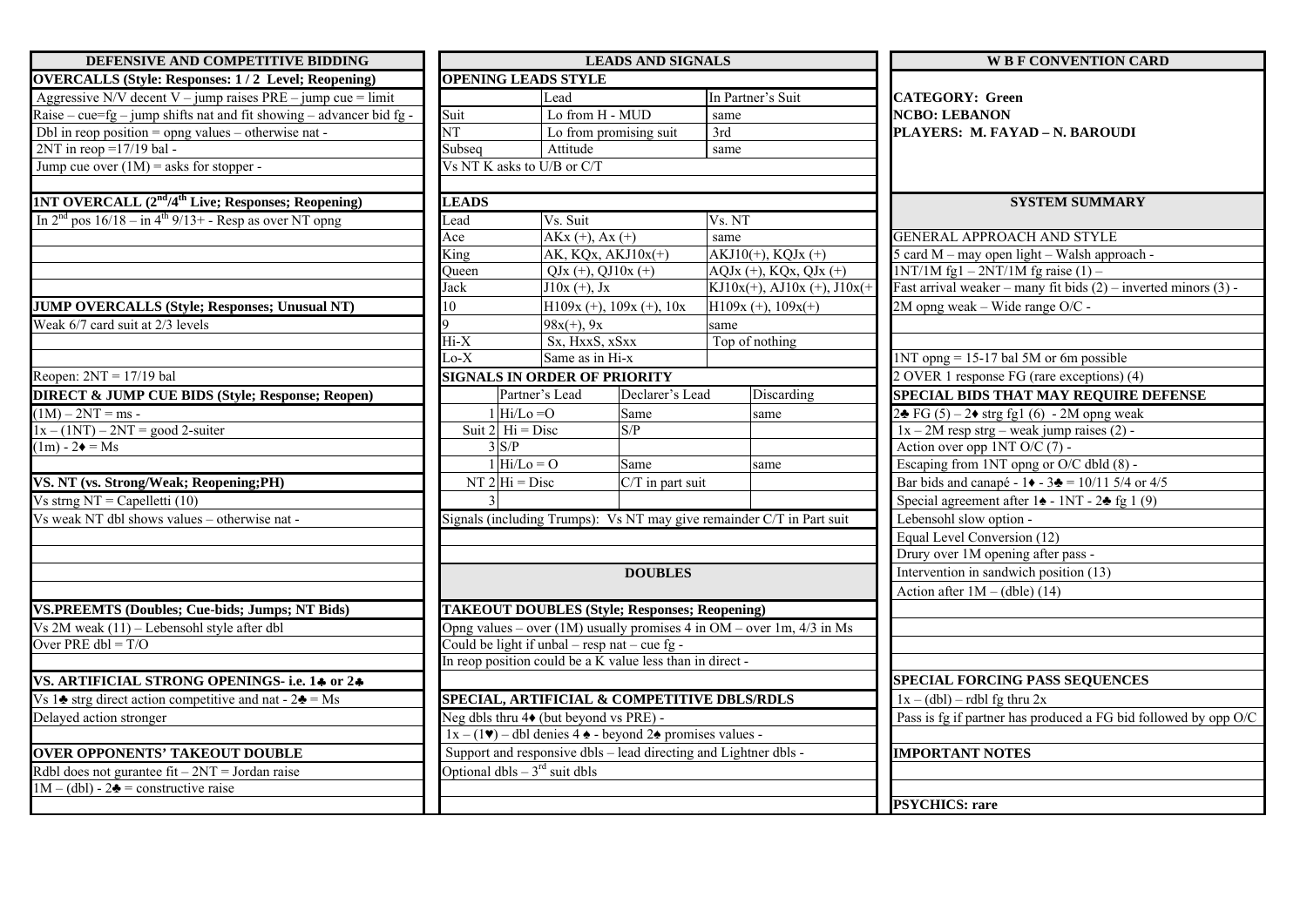| DEFENSIVE AND COMPETITIVE BIDDING                                            | <b>LEADS AND SIGNALS</b>                                  |                         |                                                                                                                  |                                                                           | <b>W B F CONVENTION CARD</b>                                              |  |
|------------------------------------------------------------------------------|-----------------------------------------------------------|-------------------------|------------------------------------------------------------------------------------------------------------------|---------------------------------------------------------------------------|---------------------------------------------------------------------------|--|
| <b>OVERCALLS (Style: Responses: 1/2 Level; Reopening)</b>                    | <b>OPENING LEADS STYLE</b>                                |                         |                                                                                                                  |                                                                           |                                                                           |  |
| Aggressive N/V decent V – jump raises $PRE - jump$ cue = limit               |                                                           | Lead                    |                                                                                                                  | In Partner's Suit                                                         | <b>CATEGORY: Green</b>                                                    |  |
| Raise – cue=fg – jump shifts nat and fit showing – advancer bid fg -         | Suit                                                      | Lo from H - MUD         |                                                                                                                  | same                                                                      | <b>NCBO: LEBANON</b>                                                      |  |
| Dbl in reop position = opng values $-$ otherwise nat -                       | $\overline{\text{NT}}$                                    | Lo from promising suit  |                                                                                                                  | 3rd                                                                       | PLAYERS: M. FAYAD - N. BAROUDI                                            |  |
| $2NT$ in reop = 17/19 bal -                                                  | Subseq                                                    | Attitude                |                                                                                                                  | same                                                                      |                                                                           |  |
| Jump cue over $(1M)$ = asks for stopper -                                    | Vs NT K asks to U/B or C/T                                |                         |                                                                                                                  |                                                                           |                                                                           |  |
|                                                                              |                                                           |                         |                                                                                                                  |                                                                           |                                                                           |  |
| <b>1NT OVERCALL (2nd/4th Live; Responses; Reopening)</b>                     | <b>LEADS</b>                                              |                         |                                                                                                                  |                                                                           | <b>SYSTEM SUMMARY</b>                                                     |  |
| In $2nd$ pos $16/18 - in 4th 9/13 +$ - Resp as over NT opng                  | Lead                                                      | Vs. Suit                |                                                                                                                  | Vs. NT                                                                    |                                                                           |  |
|                                                                              | Ace                                                       | $AKx (+), Ax (+)$       |                                                                                                                  | same                                                                      | <b>GENERAL APPROACH AND STYLE</b>                                         |  |
|                                                                              | King                                                      | AK, $KQx$ , $AKJ10x(+)$ |                                                                                                                  | $AKJ10(+)$ , KQJx (+)                                                     | 5 card M - may open light - Walsh approach -                              |  |
|                                                                              | Oueen                                                     | $QJx (+), QJ10x (+)$    |                                                                                                                  | $AQJx (+), KQx, QJx (+)$                                                  | $1NT/1M$ fg $1 - 2NT/1M$ fg raise $(1) -$                                 |  |
|                                                                              | Jack                                                      | $J10x (+), Jx$          |                                                                                                                  | KJ10x(+), AJ10x (+), J10x(+)                                              | Fast arrival weaker – many fit bids $(2)$ – inverted minors $(3)$ -       |  |
| <b>JUMP OVERCALLS (Style; Responses; Unusual NT)</b>                         | 10                                                        |                         | $H109x (+), 109x (+), 10x$                                                                                       | $H109x (+), 109x (+)$                                                     | 2M opng weak – Wide range O/C -                                           |  |
| Weak $6/7$ card suit at $2/3$ levels                                         |                                                           | $98x(+)$ , 9x           |                                                                                                                  | same                                                                      |                                                                           |  |
|                                                                              | $Hi-X$                                                    | Sx, HxxS, xSxx          |                                                                                                                  | Top of nothing                                                            |                                                                           |  |
|                                                                              |                                                           | Lo-X<br>Same as in Hi-x |                                                                                                                  |                                                                           | $1NT$ opng = 15-17 bal 5M or 6m possible                                  |  |
| Reopen: $2NT = 17/19$ bal                                                    | <b>SIGNALS IN ORDER OF PRIORITY</b>                       |                         |                                                                                                                  |                                                                           | 2 OVER 1 response FG (rare exceptions) (4)                                |  |
| <b>DIRECT &amp; JUMP CUE BIDS (Style; Response; Reopen)</b>                  |                                                           | Partner's Lead          | Declarer's Lead                                                                                                  | Discarding                                                                | <b>SPECIAL BIDS THAT MAY REQUIRE DEFENSE</b>                              |  |
| $(1M) - 2NT = ms -$                                                          | $1$ Hi/Lo = O                                             |                         | Same                                                                                                             | same                                                                      | $2\clubsuit$ FG (5) – 2 $\blacklozenge$ strg fg1 (6) - 2M opng weak       |  |
| $1x - (1NT) - 2NT = good 2-suiter$                                           | Suit $2 \text{ Hi} = \text{Disc}$                         |                         | S/P                                                                                                              |                                                                           | $1x - 2M$ resp strg – weak jump raises (2) -                              |  |
| $(1m) - 2\bullet = Ms$                                                       | 3 S/P                                                     |                         |                                                                                                                  |                                                                           | Action over opp $1NT O/C (7)$ -                                           |  |
|                                                                              | $1 \vert \text{Hi/Lo} = 0$                                |                         | Same                                                                                                             | same                                                                      | Escaping from 1NT opng or O/C dbld (8) -                                  |  |
| VS. NT (vs. Strong/Weak; Reopening;PH)                                       | $NT 2 Hi = Disc$                                          |                         | C/T in part suit                                                                                                 |                                                                           | Bar bids and canapé - $1 \cdot 3 = 10/115/4$ or 4/5                       |  |
| Vs strng $NT = Capelletti (10)$                                              |                                                           |                         |                                                                                                                  |                                                                           | Special agreement after $1\blacktriangle - 1NT - 2\blacktriangle$ fg 1(9) |  |
| Vs weak NT dbl shows values - otherwise nat-                                 |                                                           |                         |                                                                                                                  | Signals (including Trumps): Vs NT may give remainder C/T in Part suit     | Lebensohl slow option -                                                   |  |
|                                                                              |                                                           |                         |                                                                                                                  |                                                                           | Equal Level Conversion (12)                                               |  |
|                                                                              |                                                           |                         |                                                                                                                  |                                                                           | Drury over 1M opening after pass -                                        |  |
|                                                                              |                                                           |                         | <b>DOUBLES</b>                                                                                                   |                                                                           | Intervention in sandwich position (13)                                    |  |
|                                                                              |                                                           |                         |                                                                                                                  |                                                                           | Action after $1M - (dble)$ (14)                                           |  |
| <b>VS.PREEMTS (Doubles; Cue-bids; Jumps; NT Bids)</b>                        | <b>TAKEOUT DOUBLES (Style; Responses; Reopening)</b>      |                         |                                                                                                                  |                                                                           |                                                                           |  |
| Vs $2M$ weak $(11)$ – Lebensohl style after dbl                              |                                                           |                         |                                                                                                                  | Opng values – over $(1M)$ usually promises 4 in OM – over 1m, $4/3$ in Ms |                                                                           |  |
| Over PRE $dbl = T/O$                                                         | Could be light if unbal – resp nat – cue fg -             |                         |                                                                                                                  |                                                                           |                                                                           |  |
|                                                                              | In reop position could be a K value less than in direct - |                         |                                                                                                                  |                                                                           |                                                                           |  |
| VS. ARTIFICIAL STRONG OPENINGS- i.e. 14 or 24                                |                                                           |                         |                                                                                                                  |                                                                           | SPECIAL FORCING PASS SEQUENCES                                            |  |
| Vs 1 $\triangle$ strg direct action competitive and nat - 2 $\triangle$ = Ms |                                                           |                         |                                                                                                                  | SPECIAL, ARTIFICIAL & COMPETITIVE DBLS/RDLS                               | $1x - (dbl) - rdbl$ fg thru 2x                                            |  |
| Delayed action stronger                                                      | Neg dbls thru $4\bullet$ (but beyond vs PRE) -            |                         |                                                                                                                  |                                                                           | Pass is fg if partner has produced a FG bid followed by opp O/C           |  |
|                                                                              |                                                           |                         | $1x - (1\blacktriangleright)$ – dbl denies 4 $\blacktriangle$ - beyond 2 $\blacktriangleright$ promises values - |                                                                           |                                                                           |  |
| <b>OVER OPPONENTS' TAKEOUT DOUBLE</b>                                        |                                                           |                         |                                                                                                                  | Support and responsive dbls – lead directing and Lightner dbls -          | <b>IMPORTANT NOTES</b>                                                    |  |
| Rdbl does not gurantee fit $-2NT$ = Jordan raise                             | Optional dbls $-3^{rd}$ suit dbls                         |                         |                                                                                                                  |                                                                           |                                                                           |  |
| $1M - (dbl) - 2$ = constructive raise                                        |                                                           |                         |                                                                                                                  |                                                                           |                                                                           |  |
|                                                                              |                                                           |                         |                                                                                                                  |                                                                           | <b>PSYCHICS: rare</b>                                                     |  |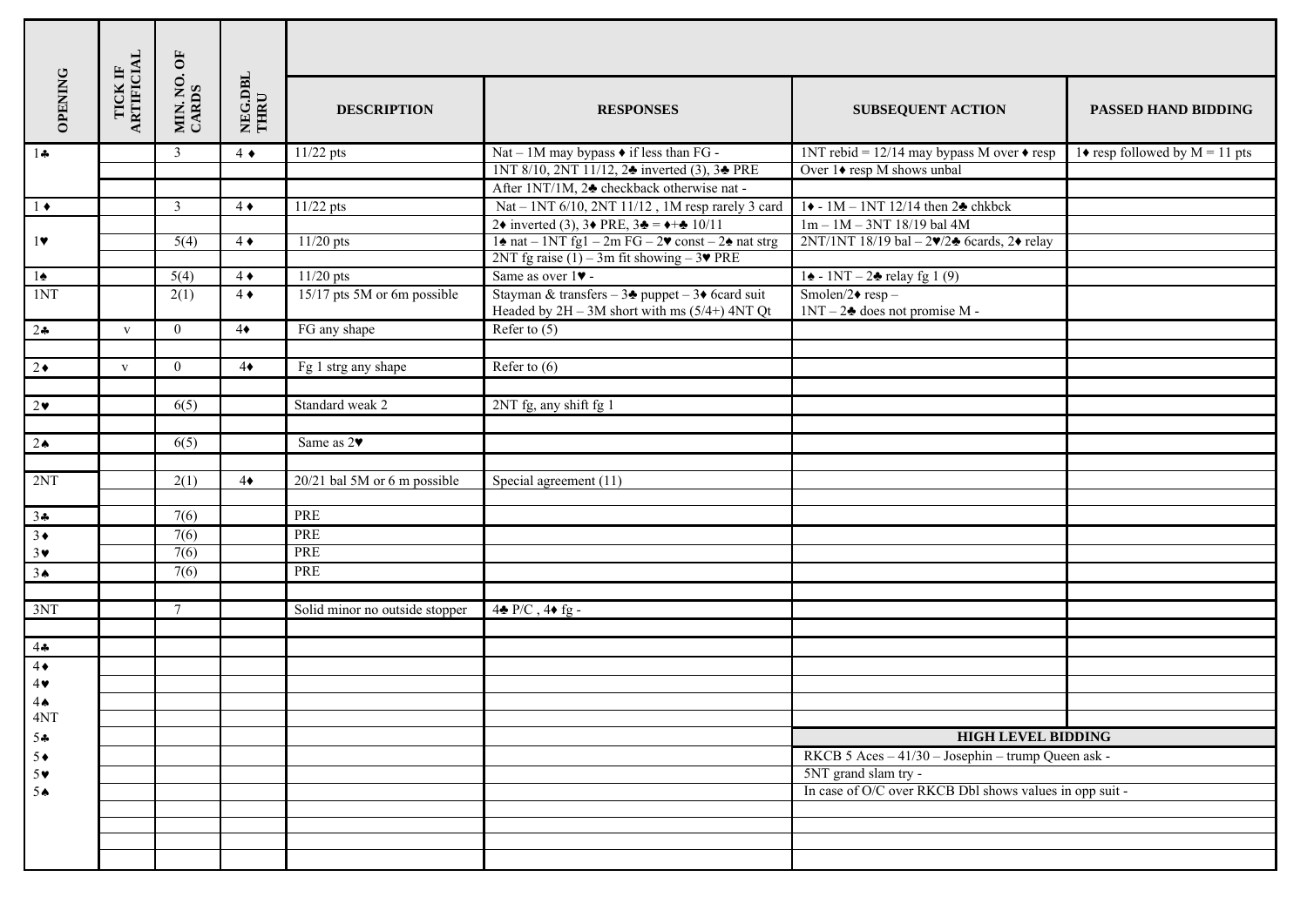|                          |                       | MIN. NO. OF<br>CARDS | NEG.DBL<br>THRU |                                |                                                                                                                           |                                                             |                                  |  |  |  |
|--------------------------|-----------------------|----------------------|-----------------|--------------------------------|---------------------------------------------------------------------------------------------------------------------------|-------------------------------------------------------------|----------------------------------|--|--|--|
| <b>OPENING</b>           | TICK IF<br>ARTIFICIAL |                      |                 | <b>DESCRIPTION</b>             | <b>RESPONSES</b>                                                                                                          | <b>SUBSEQUENT ACTION</b>                                    | PASSED HAND BIDDING              |  |  |  |
| $1 -$                    |                       | $\mathfrak{Z}$       | $4 \bullet$     | $11/22$ pts                    | Nat - 1M may bypass $\bullet$ if less than FG -                                                                           | 1NT rebid = $12/14$ may bypass M over $\triangle$ resp      | 1♦ resp followed by $M = 11$ pts |  |  |  |
|                          |                       |                      |                 |                                | 1NT 8/10, 2NT 11/12, 2♣ inverted (3), 3♣ PRE                                                                              | Over 1♦ resp M shows unbal                                  |                                  |  |  |  |
|                          |                       |                      |                 |                                | After 1NT/1M, 2♣ checkback otherwise nat-                                                                                 |                                                             |                                  |  |  |  |
| $1 \bullet$              |                       | $\mathfrak{Z}$       | $4 \bullet$     | $11/22$ pts                    | Nat – 1NT 6/10, 2NT 11/12, 1M resp rarely 3 card                                                                          | $1\bullet - 1M - 1NT$ 12/14 then $2\clubsuit$ chkbck        |                                  |  |  |  |
|                          |                       |                      |                 |                                | 2◆ inverted (3), 3◆ PRE, 3← = $+$ → 10/11                                                                                 | $1m - 1M - 3NT$ 18/19 bal 4M                                |                                  |  |  |  |
| 1                        |                       | 5(4)                 | $4 \bullet$     | $11/20$ pts                    | $1\spadesuit$ nat – 1NT fg1 – 2m FG – 2 $\blacktriangledown$ const – 2 $\spadesuit$ nat strg                              | $2NT/1NT$ 18/19 bal $-2v/2$ 6cards, 2 $\bullet$ relay       |                                  |  |  |  |
|                          |                       |                      |                 |                                | 2NT fg raise (1) – 3m fit showing – $3\blacktriangledown$ PRE                                                             |                                                             |                                  |  |  |  |
| $1\spadesuit$            |                       | 5(4)                 | $4 \bullet$     | $11/20$ pts                    | Same as over 1 $\blacktriangledown$ -                                                                                     | $1\spadesuit$ - 1NT – 2 $\spadesuit$ relay fg 1 (9)         |                                  |  |  |  |
| 1NT                      |                       | 2(1)                 | $4 \bullet$     | 15/17 pts 5M or 6m possible    | Stayman & transfers - $3\clubsuit$ puppet - $3\spadesuit$ 6card suit<br>Headed by $2H - 3M$ short with ms $(5/4+)$ 4NT Qt | Smolen/2 $\bullet$ resp -<br>$1NT - 2$ does not promise M - |                                  |  |  |  |
| $2+$                     | $\mathbf{V}$          | $\overline{0}$       | $4\bullet$      | FG any shape                   | Refer to $(5)$                                                                                                            |                                                             |                                  |  |  |  |
|                          |                       |                      |                 |                                |                                                                                                                           |                                                             |                                  |  |  |  |
| $2\bullet$               | $\mathbf{V}$          | $\overline{0}$       | $4\bullet$      | Fg 1 strg any shape            | Refer to $(6)$                                                                                                            |                                                             |                                  |  |  |  |
|                          |                       |                      |                 |                                |                                                                                                                           |                                                             |                                  |  |  |  |
| $2\bullet$               |                       | 6(5)                 |                 | Standard weak 2                | 2NT fg, any shift fg 1                                                                                                    |                                                             |                                  |  |  |  |
|                          |                       |                      |                 |                                |                                                                                                                           |                                                             |                                  |  |  |  |
| 2 <sub>•</sub>           |                       | 6(5)                 |                 | Same as 2                      |                                                                                                                           |                                                             |                                  |  |  |  |
|                          |                       |                      |                 |                                |                                                                                                                           |                                                             |                                  |  |  |  |
| 2NT                      |                       | 2(1)                 | $4\bullet$      | 20/21 bal 5M or 6 m possible   | Special agreement (11)                                                                                                    |                                                             |                                  |  |  |  |
|                          |                       |                      |                 |                                |                                                                                                                           |                                                             |                                  |  |  |  |
| $\frac{34}{3}$           |                       | 7(6)                 |                 | PRE                            |                                                                                                                           |                                                             |                                  |  |  |  |
|                          |                       | 7(6)                 |                 | PRE                            |                                                                                                                           |                                                             |                                  |  |  |  |
| $3\vee$                  |                       | 7(6)                 |                 | PRE                            |                                                                                                                           |                                                             |                                  |  |  |  |
| 3 <sub>•</sub>           |                       | 7(6)                 |                 | PRE                            |                                                                                                                           |                                                             |                                  |  |  |  |
|                          |                       |                      |                 |                                |                                                                                                                           |                                                             |                                  |  |  |  |
| 3NT                      |                       | $\overline{7}$       |                 | Solid minor no outside stopper | $4\bullet P/C$ , $4\bullet fg$ .                                                                                          |                                                             |                                  |  |  |  |
|                          |                       |                      |                 |                                |                                                                                                                           |                                                             |                                  |  |  |  |
| $4\bullet$<br>$4\bullet$ |                       |                      |                 |                                |                                                                                                                           |                                                             |                                  |  |  |  |
|                          |                       |                      |                 |                                |                                                                                                                           |                                                             |                                  |  |  |  |
| 4                        |                       |                      |                 |                                |                                                                                                                           |                                                             |                                  |  |  |  |
| 4 <sub>•</sub>           |                       |                      |                 |                                |                                                                                                                           |                                                             |                                  |  |  |  |
| 4NT                      |                       |                      |                 |                                |                                                                                                                           |                                                             |                                  |  |  |  |
| 54                       |                       |                      |                 |                                |                                                                                                                           | <b>HIGH LEVEL BIDDING</b>                                   |                                  |  |  |  |
| $5+$                     |                       |                      |                 |                                |                                                                                                                           | RKCB 5 Aces - 41/30 - Josephin - trump Queen ask -          |                                  |  |  |  |
| $5*$                     |                       |                      |                 |                                |                                                                                                                           | 5NT grand slam try -                                        |                                  |  |  |  |
| 5 <sub>•</sub>           |                       |                      |                 |                                |                                                                                                                           | In case of O/C over RKCB Dbl shows values in opp suit -     |                                  |  |  |  |
|                          |                       |                      |                 |                                |                                                                                                                           |                                                             |                                  |  |  |  |
|                          |                       |                      |                 |                                |                                                                                                                           |                                                             |                                  |  |  |  |
|                          |                       |                      |                 |                                |                                                                                                                           |                                                             |                                  |  |  |  |
|                          |                       |                      |                 |                                |                                                                                                                           |                                                             |                                  |  |  |  |